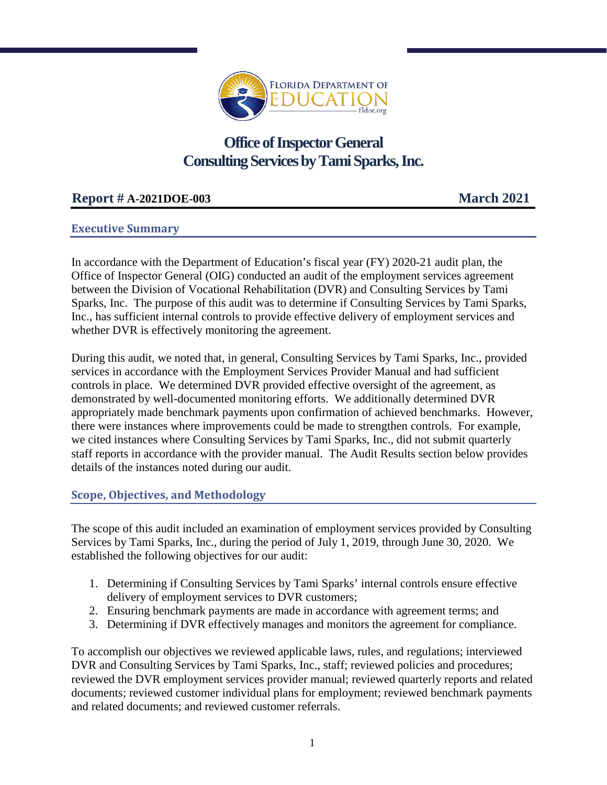

# **Office of Inspector General Consulting Services by Tami Sparks, Inc.**

# **Report # A-2021DOE-003 March 2021**

# **Executive Summary**

In accordance with the Department of Education's fiscal year (FY) 2020-21 audit plan, the Office of Inspector General (OIG) conducted an audit of the employment services agreement between the Division of Vocational Rehabilitation (DVR) and Consulting Services by Tami Sparks, Inc. The purpose of this audit was to determine if Consulting Services by Tami Sparks, Inc., has sufficient internal controls to provide effective delivery of employment services and whether DVR is effectively monitoring the agreement.

During this audit, we noted that, in general, Consulting Services by Tami Sparks, Inc., provided services in accordance with the Employment Services Provider Manual and had sufficient controls in place. We determined DVR provided effective oversight of the agreement, as demonstrated by well-documented monitoring efforts. We additionally determined DVR appropriately made benchmark payments upon confirmation of achieved benchmarks. However, there were instances where improvements could be made to strengthen controls. For example, we cited instances where Consulting Services by Tami Sparks, Inc., did not submit quarterly staff reports in accordance with the provider manual. The Audit Results section below provides details of the instances noted during our audit.

# **Scope, Objectives, and Methodology**

The scope of this audit included an examination of employment services provided by Consulting Services by Tami Sparks, Inc., during the period of July 1, 2019, through June 30, 2020. We established the following objectives for our audit:

- 1. Determining if Consulting Services by Tami Sparks' internal controls ensure effective delivery of employment services to DVR customers;
- 2. Ensuring benchmark payments are made in accordance with agreement terms; and
- 3. Determining if DVR effectively manages and monitors the agreement for compliance.

To accomplish our objectives we reviewed applicable laws, rules, and regulations; interviewed DVR and Consulting Services by Tami Sparks, Inc., staff; reviewed policies and procedures; reviewed the DVR employment services provider manual; reviewed quarterly reports and related documents; reviewed customer individual plans for employment; reviewed benchmark payments and related documents; and reviewed customer referrals.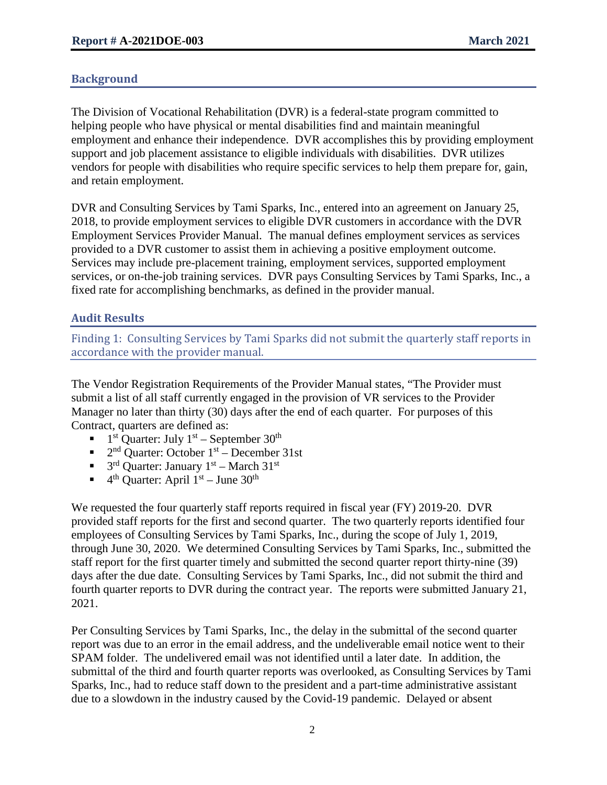# **Background**

The Division of Vocational Rehabilitation (DVR) is a federal-state program committed to helping people who have physical or mental disabilities find and maintain meaningful employment and enhance their independence. DVR accomplishes this by providing employment support and job placement assistance to eligible individuals with disabilities. DVR utilizes vendors for people with disabilities who require specific services to help them prepare for, gain, and retain employment.

DVR and Consulting Services by Tami Sparks, Inc., entered into an agreement on January 25, 2018, to provide employment services to eligible DVR customers in accordance with the DVR Employment Services Provider Manual. The manual defines employment services as services provided to a DVR customer to assist them in achieving a positive employment outcome. Services may include pre-placement training, employment services, supported employment services, or on-the-job training services. DVR pays Consulting Services by Tami Sparks, Inc., a fixed rate for accomplishing benchmarks, as defined in the provider manual.

# **Audit Results**

Finding 1: Consulting Services by Tami Sparks did not submit the quarterly staff reports in accordance with the provider manual.

The Vendor Registration Requirements of the Provider Manual states, "The Provider must submit a list of all staff currently engaged in the provision of VR services to the Provider Manager no later than thirty (30) days after the end of each quarter. For purposes of this Contract, quarters are defined as:

- $1<sup>st</sup>$  Quarter: July  $1<sup>st</sup>$  September  $30<sup>th</sup>$
- $\blacksquare$  2<sup>nd</sup> Quarter: October 1<sup>st</sup> December 31st
- $\blacksquare$  3<sup>rd</sup> Quarter: January 1<sup>st</sup> March 31<sup>st</sup>
- $\blacksquare$  4<sup>th</sup> Quarter: April 1<sup>st</sup> June 30<sup>th</sup>

We requested the four quarterly staff reports required in fiscal year (FY) 2019-20. DVR provided staff reports for the first and second quarter. The two quarterly reports identified four employees of Consulting Services by Tami Sparks, Inc., during the scope of July 1, 2019, through June 30, 2020. We determined Consulting Services by Tami Sparks, Inc., submitted the staff report for the first quarter timely and submitted the second quarter report thirty-nine (39) days after the due date. Consulting Services by Tami Sparks, Inc., did not submit the third and fourth quarter reports to DVR during the contract year. The reports were submitted January 21, 2021.

Per Consulting Services by Tami Sparks, Inc., the delay in the submittal of the second quarter report was due to an error in the email address, and the undeliverable email notice went to their SPAM folder. The undelivered email was not identified until a later date. In addition, the submittal of the third and fourth quarter reports was overlooked, as Consulting Services by Tami Sparks, Inc., had to reduce staff down to the president and a part-time administrative assistant due to a slowdown in the industry caused by the Covid-19 pandemic. Delayed or absent